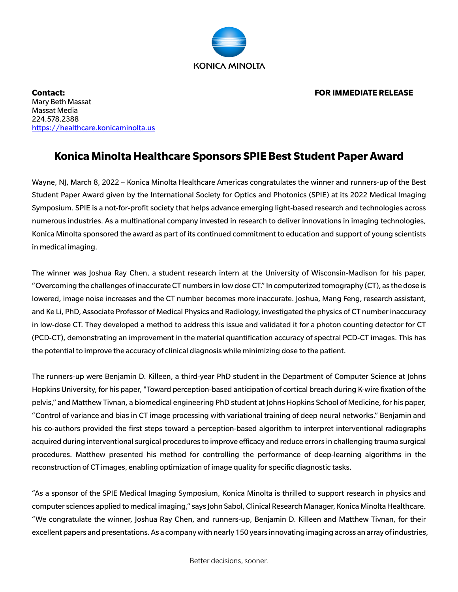

**Contact: FOR IMMEDIATE RELEASE** Mary Beth Massat Massat Media 224.578.2388 https://healthcare.konicaminolta.us

## **Konica Minolta Healthcare Sponsors SPIE Best Student Paper Award**

Wayne, NJ, March 8, 2022 – Konica Minolta Healthcare Americas congratulates the winner and runners-up of the Best Student Paper Award given by the International Society for Optics and Photonics (SPIE) at its 2022 Medical Imaging Symposium. SPIE is a not-for-profit society that helps advance emerging light-based research and technologies across numerous industries. As a multinational company invested in research to deliver innovations in imaging technologies, Konica Minolta sponsored the award as part of its continued commitment to education and support of young scientists in medical imaging.

The winner was Joshua Ray Chen, a student research intern at the University of Wisconsin-Madison for his paper, "Overcoming the challenges of inaccurate CT numbers in lowdose CT." In computerized tomography (CT), as the dose is lowered, image noise increases and the CT number becomes more inaccurate. Joshua, Mang Feng, research assistant, and Ke Li, PhD, Associate Professor of Medical Physics and Radiology, investigated the physics of CT number inaccuracy in low-dose CT. They developed a method to address this issue and validated it for a photon counting detector for CT (PCD-CT), demonstrating an improvement in the material quantification accuracy of spectral PCD-CT images. This has the potential to improve the accuracy of clinical diagnosiswhile minimizing dose to the patient.

The runners-up were Benjamin D. Killeen, a third-year PhD student in the Department of Computer Science at Johns Hopkins University, for his paper, "Toward perception-based anticipation of cortical breach during K-wire fixation of the pelvis," and Matthew Tivnan, a biomedical engineering PhD student at Johns Hopkins School of Medicine, for his paper, "Control of variance and bias in CT image processing with variational training of deep neural networks." Benjamin and his co-authors provided the first steps toward a perception-based algorithm to interpret interventional radiographs acquired during interventional surgical procedures to improve efficacy and reduce errors in challenging trauma surgical procedures. Matthew presented his method for controlling the performance of deep-learning algorithms in the reconstruction of CT images, enabling optimization of image quality for specific diagnostic tasks.

"As a sponsor of the SPIE Medical Imaging Symposium, Konica Minolta is thrilled to support research in physics and computer sciences applied to medical imaging," says John Sabol, Clinical Research Manager, Konica Minolta Healthcare. "We congratulate the winner, Joshua Ray Chen, and runners-up, Benjamin D. Killeen and Matthew Tivnan, for their excellent papers and presentations. As a company with nearly 150 years innovating imaging across an array of industries,